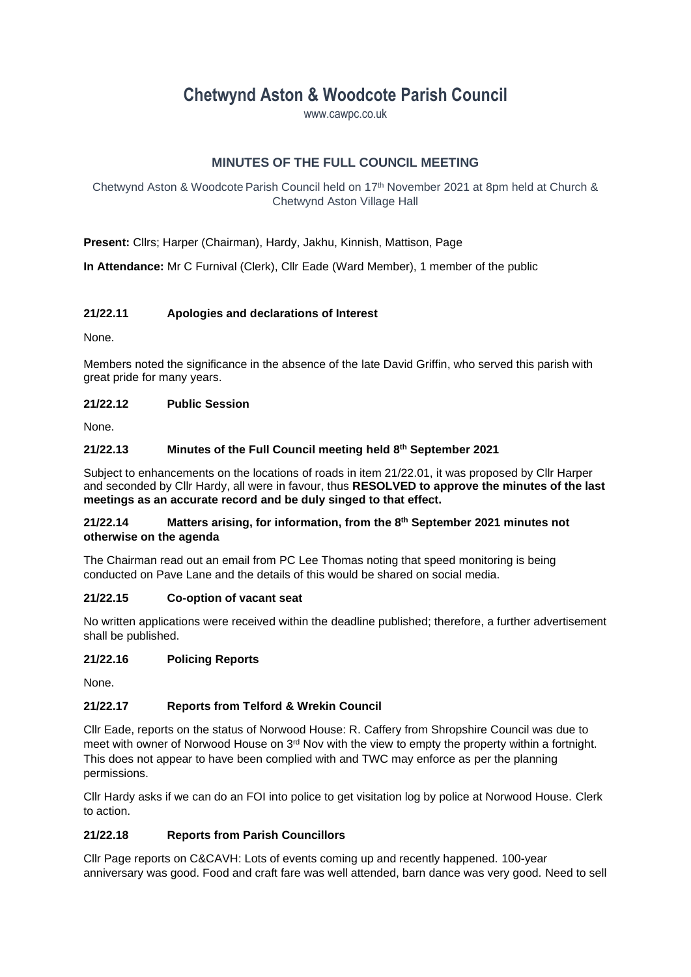# **Chetwynd Aston & Woodcote Parish Council**

www.cawpc.co.uk

# **MINUTES OF THE FULL COUNCIL MEETING**

Chetwynd Aston & Woodcote Parish Council held on 17 th November 2021 at 8pm held at Church & Chetwynd Aston Village Hall

**Present:** Cllrs; Harper (Chairman), Hardy, Jakhu, Kinnish, Mattison, Page

**In Attendance:** Mr C Furnival (Clerk), Cllr Eade (Ward Member), 1 member of the public

### **21/22.11 Apologies and declarations of Interest**

None.

Members noted the significance in the absence of the late David Griffin, who served this parish with great pride for many years.

#### **21/22.12 Public Session**

None.

#### **21/22.13 Minutes of the Full Council meeting held 8 th September 2021**

Subject to enhancements on the locations of roads in item 21/22.01, it was proposed by Cllr Harper and seconded by Cllr Hardy, all were in favour, thus **RESOLVED to approve the minutes of the last meetings as an accurate record and be duly singed to that effect.**

#### **21/22.14 Matters arising, for information, from the 8 th September 2021 minutes not otherwise on the agenda**

The Chairman read out an email from PC Lee Thomas noting that speed monitoring is being conducted on Pave Lane and the details of this would be shared on social media.

### **21/22.15 Co-option of vacant seat**

No written applications were received within the deadline published; therefore, a further advertisement shall be published.

### **21/22.16 Policing Reports**

None.

### **21/22.17 Reports from Telford & Wrekin Council**

Cllr Eade, reports on the status of Norwood House: R. Caffery from Shropshire Council was due to meet with owner of Norwood House on  $3<sup>rd</sup>$  Nov with the view to empty the property within a fortnight. This does not appear to have been complied with and TWC may enforce as per the planning permissions.

Cllr Hardy asks if we can do an FOI into police to get visitation log by police at Norwood House. Clerk to action.

### **21/22.18 Reports from Parish Councillors**

Cllr Page reports on C&CAVH: Lots of events coming up and recently happened. 100-year anniversary was good. Food and craft fare was well attended, barn dance was very good. Need to sell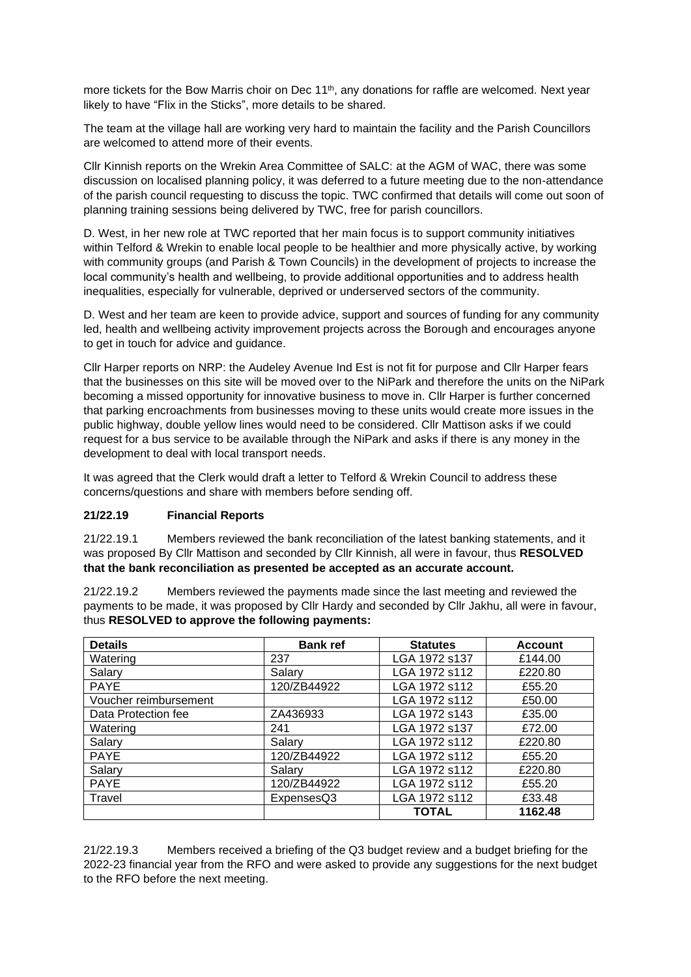more tickets for the Bow Marris choir on Dec 11<sup>th</sup>, any donations for raffle are welcomed. Next year likely to have "Flix in the Sticks", more details to be shared.

The team at the village hall are working very hard to maintain the facility and the Parish Councillors are welcomed to attend more of their events.

Cllr Kinnish reports on the Wrekin Area Committee of SALC: at the AGM of WAC, there was some discussion on localised planning policy, it was deferred to a future meeting due to the non-attendance of the parish council requesting to discuss the topic. TWC confirmed that details will come out soon of planning training sessions being delivered by TWC, free for parish councillors.

D. West, in her new role at TWC reported that her main focus is to support community initiatives within Telford & Wrekin to enable local people to be healthier and more physically active, by working with community groups (and Parish & Town Councils) in the development of projects to increase the local community's health and wellbeing, to provide additional opportunities and to address health inequalities, especially for vulnerable, deprived or underserved sectors of the community.

D. West and her team are keen to provide advice, support and sources of funding for any community led, health and wellbeing activity improvement projects across the Borough and encourages anyone to get in touch for advice and guidance.

Cllr Harper reports on NRP: the Audeley Avenue Ind Est is not fit for purpose and Cllr Harper fears that the businesses on this site will be moved over to the NiPark and therefore the units on the NiPark becoming a missed opportunity for innovative business to move in. Cllr Harper is further concerned that parking encroachments from businesses moving to these units would create more issues in the public highway, double yellow lines would need to be considered. Cllr Mattison asks if we could request for a bus service to be available through the NiPark and asks if there is any money in the development to deal with local transport needs.

It was agreed that the Clerk would draft a letter to Telford & Wrekin Council to address these concerns/questions and share with members before sending off.

### **21/22.19 Financial Reports**

21/22.19.1 Members reviewed the bank reconciliation of the latest banking statements, and it was proposed By Cllr Mattison and seconded by Cllr Kinnish, all were in favour, thus **RESOLVED that the bank reconciliation as presented be accepted as an accurate account.**

21/22.19.2 Members reviewed the payments made since the last meeting and reviewed the payments to be made, it was proposed by Cllr Hardy and seconded by Cllr Jakhu, all were in favour, thus **RESOLVED to approve the following payments:**

| <b>Details</b>        | <b>Bank ref</b> | <b>Statutes</b> | <b>Account</b> |
|-----------------------|-----------------|-----------------|----------------|
| Watering              | 237             | LGA 1972 s137   | £144.00        |
| Salary                | Salary          | LGA 1972 s112   | £220.80        |
| <b>PAYE</b>           | 120/ZB44922     | LGA 1972 s112   | £55.20         |
| Voucher reimbursement |                 | LGA 1972 s112   | £50.00         |
| Data Protection fee   | ZA436933        | LGA 1972 s143   | £35.00         |
| Watering              | 241             | LGA 1972 s137   | £72.00         |
| Salary                | Salary          | LGA 1972 s112   | £220.80        |
| <b>PAYE</b>           | 120/ZB44922     | LGA 1972 s112   | £55.20         |
| Salary                | Salarv          | LGA 1972 s112   | £220.80        |
| <b>PAYE</b>           | 120/ZB44922     | LGA 1972 s112   | £55.20         |
| Travel                | ExpensesQ3      | LGA 1972 s112   | £33.48         |
|                       |                 | <b>TOTAL</b>    | 1162.48        |

21/22.19.3 Members received a briefing of the Q3 budget review and a budget briefing for the 2022-23 financial year from the RFO and were asked to provide any suggestions for the next budget to the RFO before the next meeting.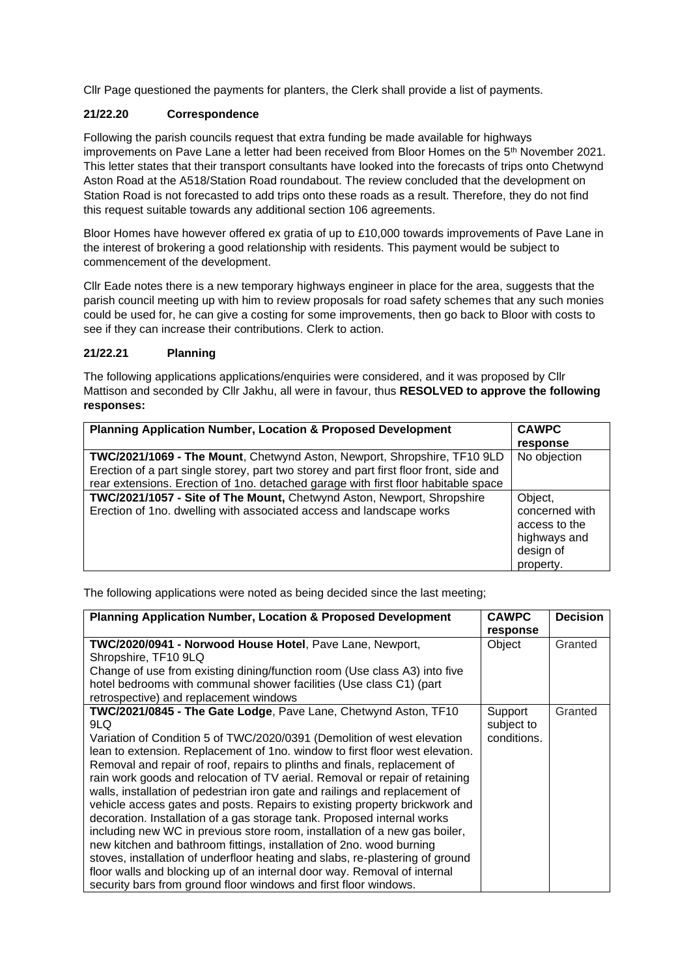Cllr Page questioned the payments for planters, the Clerk shall provide a list of payments.

# **21/22.20 Correspondence**

Following the parish councils request that extra funding be made available for highways improvements on Pave Lane a letter had been received from Bloor Homes on the 5<sup>th</sup> November 2021. This letter states that their transport consultants have looked into the forecasts of trips onto Chetwynd Aston Road at the A518/Station Road roundabout. The review concluded that the development on Station Road is not forecasted to add trips onto these roads as a result. Therefore, they do not find this request suitable towards any additional section 106 agreements.

Bloor Homes have however offered ex gratia of up to £10,000 towards improvements of Pave Lane in the interest of brokering a good relationship with residents. This payment would be subject to commencement of the development.

Cllr Eade notes there is a new temporary highways engineer in place for the area, suggests that the parish council meeting up with him to review proposals for road safety schemes that any such monies could be used for, he can give a costing for some improvements, then go back to Bloor with costs to see if they can increase their contributions. Clerk to action.

### **21/22.21 Planning**

The following applications applications/enquiries were considered, and it was proposed by Cllr Mattison and seconded by Cllr Jakhu, all were in favour, thus **RESOLVED to approve the following responses:**

| <b>Planning Application Number, Location &amp; Proposed Development</b>                | <b>CAWPC</b>   |
|----------------------------------------------------------------------------------------|----------------|
|                                                                                        | response       |
| TWC/2021/1069 - The Mount, Chetwynd Aston, Newport, Shropshire, TF10 9LD               | No objection   |
| Erection of a part single storey, part two storey and part first floor front, side and |                |
| rear extensions. Erection of 1no. detached garage with first floor habitable space     |                |
| TWC/2021/1057 - Site of The Mount, Chetwynd Aston, Newport, Shropshire                 | Object,        |
| Erection of 1no. dwelling with associated access and landscape works                   | concerned with |
|                                                                                        | access to the  |
|                                                                                        | highways and   |
|                                                                                        | design of      |
|                                                                                        | property.      |

The following applications were noted as being decided since the last meeting;

| <b>Planning Application Number, Location &amp; Proposed Development</b>                                                                                                                                                                                                                                                                                                                                                                                                                                                                                                                                                                                                                                                                                                                                                                                                                                                                                                                                                      |                                      | <b>Decision</b> |
|------------------------------------------------------------------------------------------------------------------------------------------------------------------------------------------------------------------------------------------------------------------------------------------------------------------------------------------------------------------------------------------------------------------------------------------------------------------------------------------------------------------------------------------------------------------------------------------------------------------------------------------------------------------------------------------------------------------------------------------------------------------------------------------------------------------------------------------------------------------------------------------------------------------------------------------------------------------------------------------------------------------------------|--------------------------------------|-----------------|
| TWC/2020/0941 - Norwood House Hotel, Pave Lane, Newport,<br>Shropshire, TF10 9LQ<br>Change of use from existing dining/function room (Use class A3) into five<br>hotel bedrooms with communal shower facilities (Use class C1) (part<br>retrospective) and replacement windows                                                                                                                                                                                                                                                                                                                                                                                                                                                                                                                                                                                                                                                                                                                                               | response<br>Object                   | Granted         |
| TWC/2021/0845 - The Gate Lodge, Pave Lane, Chetwynd Aston, TF10<br>9LQ<br>Variation of Condition 5 of TWC/2020/0391 (Demolition of west elevation<br>lean to extension. Replacement of 1no. window to first floor west elevation.<br>Removal and repair of roof, repairs to plinths and finals, replacement of<br>rain work goods and relocation of TV aerial. Removal or repair of retaining<br>walls, installation of pedestrian iron gate and railings and replacement of<br>vehicle access gates and posts. Repairs to existing property brickwork and<br>decoration. Installation of a gas storage tank. Proposed internal works<br>including new WC in previous store room, installation of a new gas boiler,<br>new kitchen and bathroom fittings, installation of 2no. wood burning<br>stoves, installation of underfloor heating and slabs, re-plastering of ground<br>floor walls and blocking up of an internal door way. Removal of internal<br>security bars from ground floor windows and first floor windows. | Support<br>subject to<br>conditions. | Granted         |